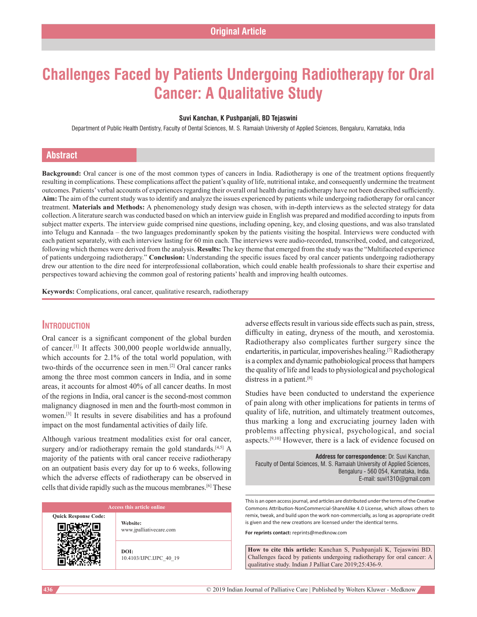# **Challenges Faced by Patients Undergoing Radiotherapy for Oral Cancer: A Qualitative Study**

#### **Suvi Kanchan, K Pushpanjali, BD Tejaswini**

Department of Public Health Dentistry, Faculty of Dental Sciences, M. S. Ramaiah University of Applied Sciences, Bengaluru, Karnataka, India

# **Abstract**

**Background:** Oral cancer is one of the most common types of cancers in India. Radiotherapy is one of the treatment options frequently resulting in complications. These complications affect the patient's quality of life, nutritional intake, and consequently undermine the treatment outcomes. Patients' verbal accounts of experiences regarding their overall oral health during radiotherapy have not been described sufficiently. **Aim:** The aim of the current study was to identify and analyze the issues experienced by patients while undergoing radiotherapy for oral cancer treatment. **Materials and Methods:** A phenomenology study design was chosen, with in‑depth interviews as the selected strategy for data collection. Aliterature search was conducted based on which an interview guide in English was prepared and modified according to inputs from subject matter experts. The interview guide comprised nine questions, including opening, key, and closing questions, and was also translated into Telugu and Kannada – the two languages predominantly spoken by the patients visiting the hospital. Interviews were conducted with each patient separately, with each interview lasting for 60 min each. The interviews were audio-recorded, transcribed, coded, and categorized, following which themes were derived from the analysis. **Results:** The key theme that emerged from the study was the "Multifaceted experience of patients undergoing radiotherapy." **Conclusion:** Understanding the specific issues faced by oral cancer patients undergoing radiotherapy drew our attention to the dire need for interprofessional collaboration, which could enable health professionals to share their expertise and perspectives toward achieving the common goal of restoring patients' health and improving health outcomes.

**Keywords:** Complications, oral cancer, qualitative research, radiotherapy

# **Introduction**

Oral cancer is a significant component of the global burden of cancer.[1] It affects 300,000 people worldwide annually, which accounts for 2.1% of the total world population, with two-thirds of the occurrence seen in men.<sup>[2]</sup> Oral cancer ranks among the three most common cancers in India, and in some areas, it accounts for almost 40% of all cancer deaths. In most of the regions in India, oral cancer is the second‑most common malignancy diagnosed in men and the fourth-most common in women.[3] It results in severe disabilities and has a profound impact on the most fundamental activities of daily life.

Although various treatment modalities exist for oral cancer, surgery and/or radiotherapy remain the gold standards.<sup>[4,5]</sup> A majority of the patients with oral cancer receive radiotherapy on an outpatient basis every day for up to 6 weeks, following which the adverse effects of radiotherapy can be observed in cells that divide rapidly such as the mucous membranes.[6] These

**Quick Response Code:**

**Website:** www.jpalliativecare.com

**DOI:** 10.4103/IJPC.IJPC\_40\_19 adverse effects result in various side effects such as pain, stress, difficulty in eating, dryness of the mouth, and xerostomia. Radiotherapy also complicates further surgery since the endarteritis, in particular, impoverishes healing.[7] Radiotherapy is a complex and dynamic pathobiological process that hampers the quality of life and leads to physiological and psychological distress in a patient.[8]

Studies have been conducted to understand the experience of pain along with other implications for patients in terms of quality of life, nutrition, and ultimately treatment outcomes, thus marking a long and excruciating journey laden with problems affecting physical, psychological, and social aspects.[9,10] However, there is a lack of evidence focused on

**Address for correspondence:** Dr. Suvi Kanchan, Faculty of Dental Sciences, M. S. Ramaiah University of Applied Sciences, Bengaluru ‑ 560 054, Karnataka, India. E‑mail: suvi1310@gmail.com

This is an open access journal, and articles are distributed under the terms of the Creative Commons Attribution-NonCommercial-ShareAlike 4.0 License, which allows others to remix, tweak, and build upon the work non-commercially, as long as appropriate credit is given and the new creations are licensed under the identical terms.

**For reprints contact:** reprints@medknow.com

**How to cite this article:** Kanchan S, Pushpanjali K, Tejaswini BD. Challenges faced by patients undergoing radiotherapy for oral cancer: A qualitative study. Indian J Palliat Care 2019;25:436-9.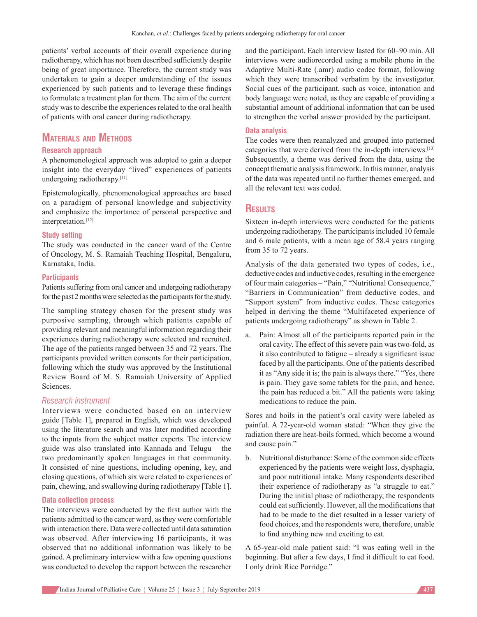patients' verbal accounts of their overall experience during radiotherapy, which has not been described sufficiently despite being of great importance. Therefore, the current study was undertaken to gain a deeper understanding of the issues experienced by such patients and to leverage these findings to formulate a treatment plan for them. The aim of the current study was to describe the experiences related to the oral health of patients with oral cancer during radiotherapy.

# **Materials and Methods**

### **Research approach**

A phenomenological approach was adopted to gain a deeper insight into the everyday "lived" experiences of patients undergoing radiotherapy.[11]

Epistemologically, phenomenological approaches are based on a paradigm of personal knowledge and subjectivity and emphasize the importance of personal perspective and interpretation.[12]

#### **Study setting**

The study was conducted in the cancer ward of the Centre of Oncology, M. S. Ramaiah Teaching Hospital, Bengaluru, Karnataka, India.

#### **Participants**

Patients suffering from oral cancer and undergoing radiotherapy for the past 2 months were selected as the participants for the study.

The sampling strategy chosen for the present study was purposive sampling, through which patients capable of providing relevant and meaningful information regarding their experiences during radiotherapy were selected and recruited. The age of the patients ranged between 35 and 72 years. The participants provided written consents for their participation, following which the study was approved by the Institutional Review Board of M. S. Ramaiah University of Applied Sciences.

#### *Research instrument*

Interviews were conducted based on an interview guide [Table 1], prepared in English, which was developed using the literature search and was later modified according to the inputs from the subject matter experts. The interview guide was also translated into Kannada and Telugu – the two predominantly spoken languages in that community. It consisted of nine questions, including opening, key, and closing questions, of which six were related to experiences of pain, chewing, and swallowing during radiotherapy [Table 1].

#### **Data collection process**

The interviews were conducted by the first author with the patients admitted to the cancer ward, as they were comfortable with interaction there. Data were collected until data saturation was observed. After interviewing 16 participants, it was observed that no additional information was likely to be gained. A preliminary interview with a few opening questions was conducted to develop the rapport between the researcher

and the participant. Each interview lasted for 60–90 min. All interviews were audiorecorded using a mobile phone in the Adaptive Multi‑Rate (.amr) audio codec format, following which they were transcribed verbatim by the investigator. Social cues of the participant, such as voice, intonation and body language were noted, as they are capable of providing a substantial amount of additional information that can be used to strengthen the verbal answer provided by the participant.

#### **Data analysis**

The codes were then reanalyzed and grouped into patterned categories that were derived from the in-depth interviews.<sup>[13]</sup> Subsequently, a theme was derived from the data, using the concept thematic analysis framework. In this manner, analysis of the data was repeated until no further themes emerged, and all the relevant text was coded.

# **Results**

Sixteen in‑depth interviews were conducted for the patients undergoing radiotherapy. The participants included 10 female and 6 male patients, with a mean age of 58.4 years ranging from 35 to 72 years.

Analysis of the data generated two types of codes, i.e., deductive codes and inductive codes, resulting in the emergence of four main categories – "Pain," "Nutritional Consequence," "Barriers in Communication" from deductive codes, and "Support system" from inductive codes. These categories helped in deriving the theme "Multifaceted experience of patients undergoing radiotherapy" as shown in Table 2.

a. Pain: Almost all of the participants reported pain in the oral cavity. The effect of this severe pain was two-fold, as it also contributed to fatigue – already a significant issue faced by all the participants. One of the patients described it as "Any side it is; the pain is always there." "Yes, there is pain. They gave some tablets for the pain, and hence, the pain has reduced a bit." All the patients were taking medications to reduce the pain.

Sores and boils in the patient's oral cavity were labeled as painful. A 72‑year‑old woman stated: "When they give the radiation there are heat-boils formed, which become a wound and cause pain."

b. Nutritional disturbance: Some of the common side effects experienced by the patients were weight loss, dysphagia, and poor nutritional intake. Many respondents described their experience of radiotherapy as "a struggle to eat." During the initial phase of radiotherapy, the respondents could eat sufficiently. However, all the modifications that had to be made to the diet resulted in a lesser variety of food choices, and the respondents were, therefore, unable to find anything new and exciting to eat.

A 65‑year‑old male patient said: "I was eating well in the beginning. But after a few days, I find it difficult to eat food. I only drink Rice Porridge."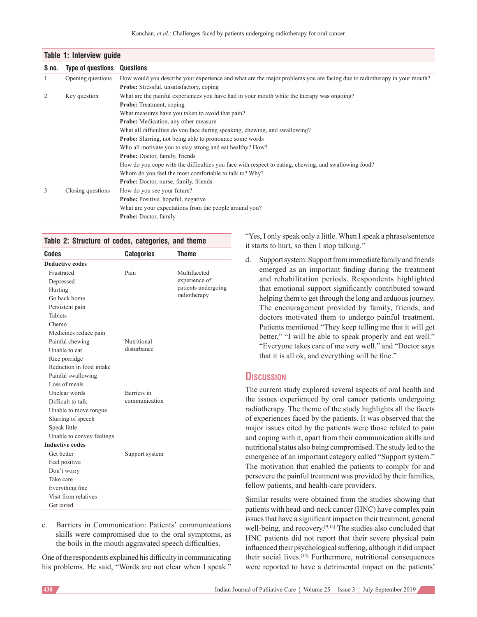|       | Table 1: Interview guide |                                                                                                                          |  |  |  |  |
|-------|--------------------------|--------------------------------------------------------------------------------------------------------------------------|--|--|--|--|
| S no. | <b>Type of questions</b> | Questions                                                                                                                |  |  |  |  |
| 1     | Opening questions        | How would you describe your experience and what are the major problems you are facing due to radiotherapy in your mouth? |  |  |  |  |
|       |                          | <b>Probe:</b> Stressful, unsatisfactory, coping                                                                          |  |  |  |  |
| 2     | Key question             | What are the painful experiences you have had in your mouth while the therapy was ongoing?                               |  |  |  |  |
|       |                          | <b>Probe:</b> Treatment, coping                                                                                          |  |  |  |  |
|       |                          | What measures have you taken to avoid that pain?                                                                         |  |  |  |  |
|       |                          | <b>Probe:</b> Medication, any other measure                                                                              |  |  |  |  |
|       |                          | What all difficulties do you face during speaking, chewing, and swallowing?                                              |  |  |  |  |
|       |                          | Probe: Slurring, not being able to pronounce some words                                                                  |  |  |  |  |
|       |                          | Who all motivate you to stay strong and eat healthy? How?                                                                |  |  |  |  |
|       |                          | Probe: Doctor, family, friends                                                                                           |  |  |  |  |
|       |                          | How do you cope with the difficulties you face with respect to eating, chewing, and swallowing food?                     |  |  |  |  |
|       |                          | Whom do you feel the most comfortable to talk to? Why?                                                                   |  |  |  |  |
|       |                          | <b>Probe:</b> Doctor, nurse, family, friends                                                                             |  |  |  |  |
| 3     | Closing questions        | How do you see your future?                                                                                              |  |  |  |  |
|       |                          | <b>Probe:</b> Positive, hopeful, negative                                                                                |  |  |  |  |
|       |                          | What are your expectations from the people around you?                                                                   |  |  |  |  |
|       |                          | <b>Probe:</b> Doctor, family                                                                                             |  |  |  |  |

|  |  |  |  | Table 2: Structure of codes, categories, and theme |  |  |
|--|--|--|--|----------------------------------------------------|--|--|
|--|--|--|--|----------------------------------------------------|--|--|

| Codes                     | <b>Categories</b> | <b>Theme</b>                                                         |  |  |  |  |
|---------------------------|-------------------|----------------------------------------------------------------------|--|--|--|--|
| <b>Deductive codes</b>    |                   |                                                                      |  |  |  |  |
| Frustrated                | Pain              | Multifaceted<br>experience of<br>patients undergoing<br>radiotherapy |  |  |  |  |
| Depressed                 |                   |                                                                      |  |  |  |  |
| Hurting                   |                   |                                                                      |  |  |  |  |
| Go back home              |                   |                                                                      |  |  |  |  |
| Persistent pain           |                   |                                                                      |  |  |  |  |
| <b>Tablets</b>            |                   |                                                                      |  |  |  |  |
| Chemo                     |                   |                                                                      |  |  |  |  |
| Medicines reduce pain     |                   |                                                                      |  |  |  |  |
| Painful chewing           | Nutritional       |                                                                      |  |  |  |  |
| Unable to eat             | disturbance       |                                                                      |  |  |  |  |
| Rice porridge             |                   |                                                                      |  |  |  |  |
| Reduction in food intake  |                   |                                                                      |  |  |  |  |
| Painful swallowing        |                   |                                                                      |  |  |  |  |
| Loss of meals             |                   |                                                                      |  |  |  |  |
| Unclear words             | Barriers in       |                                                                      |  |  |  |  |
| Difficult to talk         | communication     |                                                                      |  |  |  |  |
| Unable to move tongue.    |                   |                                                                      |  |  |  |  |
| Slurring of speech        |                   |                                                                      |  |  |  |  |
| Speak little              |                   |                                                                      |  |  |  |  |
| Unable to convey feelings |                   |                                                                      |  |  |  |  |
| <b>Inductive codes</b>    |                   |                                                                      |  |  |  |  |
| Get better                | Support system    |                                                                      |  |  |  |  |
| Feel positive             |                   |                                                                      |  |  |  |  |
| Don't worry               |                   |                                                                      |  |  |  |  |
| Take care                 |                   |                                                                      |  |  |  |  |
| Everything fine           |                   |                                                                      |  |  |  |  |
| Visit from relatives      |                   |                                                                      |  |  |  |  |
| Get cured                 |                   |                                                                      |  |  |  |  |

c. Barriers in Communication: Patients' communications skills were compromised due to the oral symptoms, as the boils in the mouth aggravated speech difficulties.

One of the respondents explained his difficulty in communicating his problems. He said, "Words are not clear when I speak."

"Yes, I only speak only a little. When I speak a phrase/sentence it starts to hurt, so then I stop talking."

d. Support system: Support from immediate family and friends emerged as an important finding during the treatment and rehabilitation periods. Respondents highlighted that emotional support significantly contributed toward helping them to get through the long and arduous journey. The encouragement provided by family, friends, and doctors motivated them to undergo painful treatment. Patients mentioned "They keep telling me that it will get better," "I will be able to speak properly and eat well." "Everyone takes care of me very well." and "Doctor says that it is all ok, and everything will be fine."

# **Discussion**

The current study explored several aspects of oral health and the issues experienced by oral cancer patients undergoing radiotherapy. The theme of the study highlights all the facets of experiences faced by the patients. It was observed that the major issues cited by the patients were those related to pain and coping with it, apart from their communication skills and nutritional status also being compromised. The study led to the emergence of an important category called "Support system." The motivation that enabled the patients to comply for and persevere the painful treatment was provided by their families, fellow patients, and health-care providers.

Similar results were obtained from the studies showing that patients with head-and-neck cancer (HNC) have complex pain issues that have a significant impact on their treatment, general well-being, and recovery.<sup>[9,14]</sup> The studies also concluded that HNC patients did not report that their severe physical pain influenced their psychological suffering, although it did impact their social lives.[15] Furthermore, nutritional consequences were reported to have a detrimental impact on the patients'